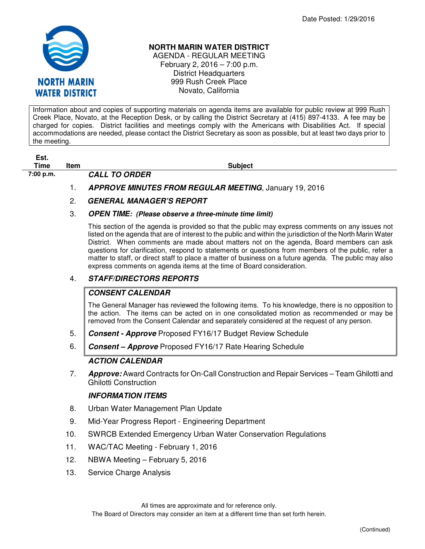

### **NORTH MARIN WATER DISTRICT**

AGENDA - REGULAR MEETING February 2, 2016 – 7:00 p.m. District Headquarters 999 Rush Creek Place Novato, California

Information about and copies of supporting materials on agenda items are available for public review at 999 Rush Creek Place, Novato, at the Reception Desk, or by calling the District Secretary at (415) 897-4133. A fee may be charged for copies. District facilities and meetings comply with the Americans with Disabilities Act. If special accommodations are needed, please contact the District Secretary as soon as possible, but at least two days prior to the meeting.

# **Est.**

**7:00 p.m. CALL TO ORDER** 

**Time Item Subject** 

1. **APPROVE MINUTES FROM REGULAR MEETING**, January 19, 2016

# 2. **GENERAL MANAGER'S REPORT**

### 3. **OPEN TIME: (Please observe a three-minute time limit)**

This section of the agenda is provided so that the public may express comments on any issues not listed on the agenda that are of interest to the public and within the jurisdiction of the North Marin Water District. When comments are made about matters not on the agenda, Board members can ask questions for clarification, respond to statements or questions from members of the public, refer a matter to staff, or direct staff to place a matter of business on a future agenda. The public may also express comments on agenda items at the time of Board consideration.

# 4. **STAFF/DIRECTORS REPORTS**

## **CONSENT CALENDAR**

The General Manager has reviewed the following items. To his knowledge, there is no opposition to the action. The items can be acted on in one consolidated motion as recommended or may be removed from the Consent Calendar and separately considered at the request of any person.

- 5. **Consent Approve** Proposed FY16/17 Budget Review Schedule
- 6. **Consent Approve** Proposed FY16/17 Rate Hearing Schedule

## **ACTION CALENDAR**

7. **Approve:** Award Contracts for On-Call Construction and Repair Services – Team Ghilotti and Ghilotti Construction

### **INFORMATION ITEMS**

- 8. Urban Water Management Plan Update
- 9. Mid-Year Progress Report Engineering Department
- 10. SWRCB Extended Emergency Urban Water Conservation Regulations
- 11. WAC/TAC Meeting February 1, 2016
- 12. NBWA Meeting February 5, 2016
- 13. Service Charge Analysis